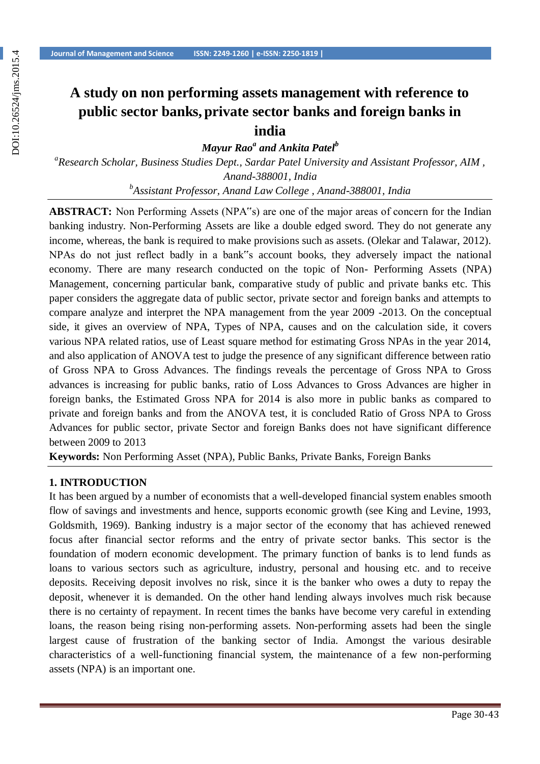# **A study on non performing assets management with reference to public sector banks, private sector banks and foreign banks in india**

*Mayur Rao<sup>a</sup> and Ankita Patel<sup>b</sup>*

*a Research Scholar, Business Studies Dept., Sardar Patel University and Assistant Professor, AIM , Anand-388001, India b Assistant Professor, Anand Law College , Anand-388001, India*

**ABSTRACT:** Non Performing Assets (NPA"s) are one of the major areas of concern for the Indian banking industry. Non-Performing Assets are like a double edged sword. They do not generate any income, whereas, the bank is required to make provisions such as assets. (Olekar and Talawar, 2012). NPAs do not just reflect badly in a bank"s account books, they adversely impact the national economy. There are many research conducted on the topic of Non- Performing Assets (NPA) Management, concerning particular bank, comparative study of public and private banks etc. This paper considers the aggregate data of public sector, private sector and foreign banks and attempts to compare analyze and interpret the NPA management from the year 2009 -2013. On the conceptual side, it gives an overview of NPA, Types of NPA, causes and on the calculation side, it covers various NPA related ratios, use of Least square method for estimating Gross NPAs in the year 2014, and also application of ANOVA test to judge the presence of any significant difference between ratio of Gross NPA to Gross Advances. The findings reveals the percentage of Gross NPA to Gross advances is increasing for public banks, ratio of Loss Advances to Gross Advances are higher in foreign banks, the Estimated Gross NPA for 2014 is also more in public banks as compared to private and foreign banks and from the ANOVA test, it is concluded Ratio of Gross NPA to Gross Advances for public sector, private Sector and foreign Banks does not have significant difference between 2009 to 2013

**Keywords:** Non Performing Asset (NPA), Public Banks, Private Banks, Foreign Banks

#### **1. INTRODUCTION**

It has been argued by a number of economists that a well-developed financial system enables smooth flow of savings and investments and hence, supports economic growth (see King and Levine, 1993, Goldsmith, 1969). Banking industry is a major sector of the economy that has achieved renewed focus after financial sector reforms and the entry of private sector banks. This sector is the foundation of modern economic development. The primary function of banks is to lend funds as loans to various sectors such as agriculture, industry, personal and housing etc. and to receive deposits. Receiving deposit involves no risk, since it is the banker who owes a duty to repay the deposit, whenever it is demanded. On the other hand lending always involves much risk because there is no certainty of repayment. In recent times the banks have become very careful in extending loans, the reason being rising non-performing assets. Non-performing assets had been the single largest cause of frustration of the banking sector of India. Amongst the various desirable characteristics of a well-functioning financial system, the maintenance of a few non-performing assets (NPA) is an important one.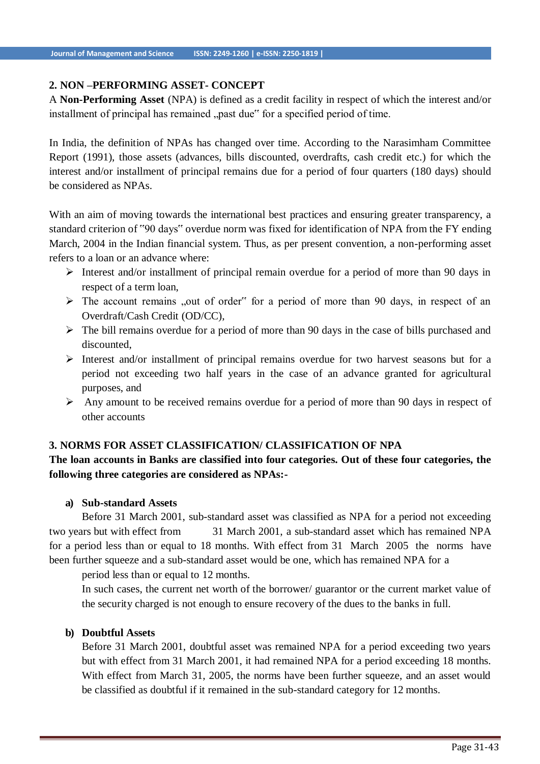## **2. NON –PERFORMING ASSET- CONCEPT**

A **Non-Performing Asset** (NPA) is defined as a credit facility in respect of which the interest and/or installment of principal has remained "past due" for a specified period of time.

In India, the definition of NPAs has changed over time. According to the Narasimham Committee Report (1991), those assets (advances, bills discounted, overdrafts, cash credit etc.) for which the interest and/or installment of principal remains due for a period of four quarters (180 days) should be considered as NPAs.

With an aim of moving towards the international best practices and ensuring greater transparency, a standard criterion of "90 days" overdue norm was fixed for identification of NPA from the FY ending March, 2004 in the Indian financial system. Thus, as per present convention, a non-performing asset refers to a loan or an advance where:

- $\triangleright$  Interest and/or installment of principal remain overdue for a period of more than 90 days in respect of a term loan,
- $\triangleright$  The account remains "out of order" for a period of more than 90 days, in respect of an Overdraft/Cash Credit (OD/CC),
- $\triangleright$  The bill remains overdue for a period of more than 90 days in the case of bills purchased and discounted,
- $\triangleright$  Interest and/or installment of principal remains overdue for two harvest seasons but for a period not exceeding two half years in the case of an advance granted for agricultural purposes, and
- $\triangleright$  Any amount to be received remains overdue for a period of more than 90 days in respect of other accounts

## **3. NORMS FOR ASSET CLASSIFICATION/ CLASSIFICATION OF NPA**

# **The loan accounts in Banks are classified into four categories. Out of these four categories, the following three categories are considered as NPAs:-**

## **a) Sub-standard Assets**

Before 31 March 2001, sub-standard asset was classified as NPA for a period not exceeding two years but with effect from 31 March 2001, a sub-standard asset which has remained NPA for a period less than or equal to 18 months. With effect from 31 March 2005 the norms have been further squeeze and a sub-standard asset would be one, which has remained NPA for a

period less than or equal to 12 months.

In such cases, the current net worth of the borrower/ guarantor or the current market value of the security charged is not enough to ensure recovery of the dues to the banks in full.

## **b) Doubtful Assets**

Before 31 March 2001, doubtful asset was remained NPA for a period exceeding two years but with effect from 31 March 2001, it had remained NPA for a period exceeding 18 months. With effect from March 31, 2005, the norms have been further squeeze, and an asset would be classified as doubtful if it remained in the sub-standard category for 12 months.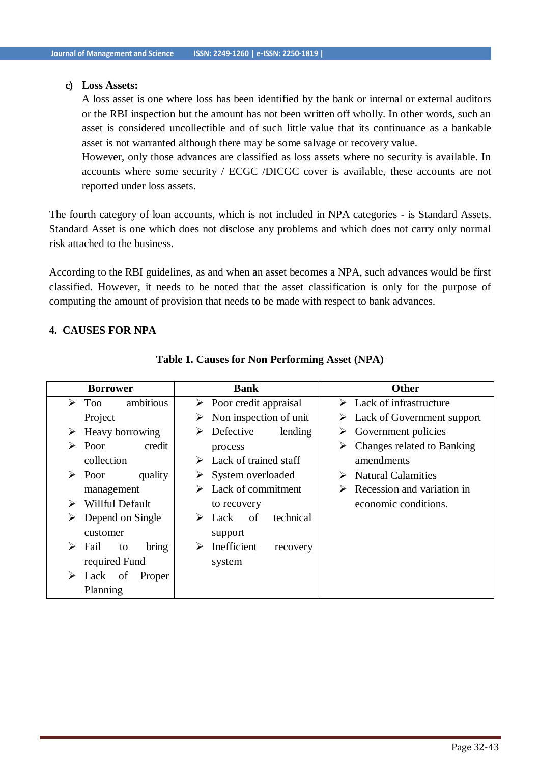#### **c) Loss Assets:**

A loss asset is one where loss has been identified by the bank or internal or external auditors or the RBI inspection but the amount has not been written off wholly. In other words, such an asset is considered uncollectible and of such little value that its continuance as a bankable asset is not warranted although there may be some salvage or recovery value.

However, only those advances are classified as loss assets where no security is available. In accounts where some security / ECGC /DICGC cover is available, these accounts are not reported under loss assets.

The fourth category of loan accounts, which is not included in NPA categories - is Standard Assets. Standard Asset is one which does not disclose any problems and which does not carry only normal risk attached to the business.

According to the RBI guidelines, as and when an asset becomes a NPA, such advances would be first classified. However, it needs to be noted that the asset classification is only for the purpose of computing the amount of provision that needs to be made with respect to bank advances.

## **4. CAUSES FOR NPA**

|   | <b>Borrower</b>  |           |   | <b>Bank</b>                            |           |   | <b>Other</b>                                |
|---|------------------|-----------|---|----------------------------------------|-----------|---|---------------------------------------------|
| ➤ | <b>Too</b>       | ambitious |   | $\triangleright$ Poor credit appraisal |           |   | $\triangleright$ Lack of infrastructure     |
|   | Project          |           | ➤ | Non inspection of unit                 |           |   | $\triangleright$ Lack of Government support |
| ➤ | Heavy borrowing  |           | ⋗ | Defective                              | lending   |   | Government policies                         |
| ➤ | Poor             | credit    |   | process                                |           | ➤ | Changes related to Banking                  |
|   | collection       |           | ➤ | Lack of trained staff                  |           |   | amendments                                  |
| ➤ | Poor             | quality   | ➤ | System overloaded                      |           | ➤ | <b>Natural Calamities</b>                   |
|   | management       |           |   | Lack of commitment                     |           |   | Recession and variation in                  |
| ➤ | Willful Default  |           |   | to recovery                            |           |   | economic conditions.                        |
| ⋗ | Depend on Single |           | ➤ | Lack<br>of                             | technical |   |                                             |
|   | customer         |           |   | support                                |           |   |                                             |
| ➤ | Fail<br>to       | bring     | ➤ | Inefficient                            | recovery  |   |                                             |
|   | required Fund    |           |   | system                                 |           |   |                                             |
| ➤ | of<br>Lack       | Proper    |   |                                        |           |   |                                             |
|   | Planning         |           |   |                                        |           |   |                                             |

#### **Table 1. Causes for Non Performing Asset (NPA)**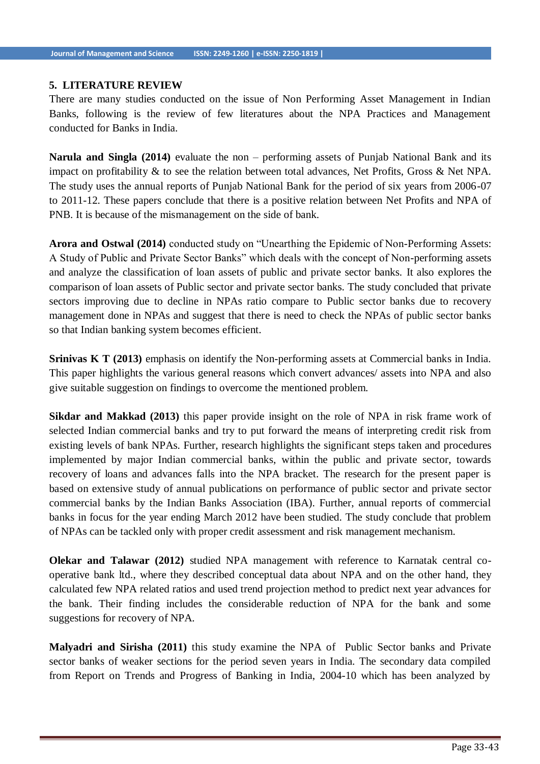#### **5. LITERATURE REVIEW**

There are many studies conducted on the issue of Non Performing Asset Management in Indian Banks, following is the review of few literatures about the NPA Practices and Management conducted for Banks in India.

**Narula and Singla (2014)** evaluate the non – performing assets of Punjab National Bank and its impact on profitability & to see the relation between total advances, Net Profits, Gross & Net NPA. The study uses the annual reports of Punjab National Bank for the period of six years from 2006-07 to 2011-12. These papers conclude that there is a positive relation between Net Profits and NPA of PNB. It is because of the mismanagement on the side of bank.

**Arora and Ostwal (2014)** conducted study on "Unearthing the Epidemic of Non-Performing Assets: A Study of Public and Private Sector Banks" which deals with the concept of Non-performing assets and analyze the classification of loan assets of public and private sector banks. It also explores the comparison of loan assets of Public sector and private sector banks. The study concluded that private sectors improving due to decline in NPAs ratio compare to Public sector banks due to recovery management done in NPAs and suggest that there is need to check the NPAs of public sector banks so that Indian banking system becomes efficient.

**Srinivas K T (2013)** emphasis on identify the Non-performing assets at Commercial banks in India. This paper highlights the various general reasons which convert advances/ assets into NPA and also give suitable suggestion on findings to overcome the mentioned problem.

**Sikdar and Makkad (2013)** this paper provide insight on the role of NPA in risk frame work of selected Indian commercial banks and try to put forward the means of interpreting credit risk from existing levels of bank NPAs. Further, research highlights the significant steps taken and procedures implemented by major Indian commercial banks, within the public and private sector, towards recovery of loans and advances falls into the NPA bracket. The research for the present paper is based on extensive study of annual publications on performance of public sector and private sector commercial banks by the Indian Banks Association (IBA). Further, annual reports of commercial banks in focus for the year ending March 2012 have been studied. The study conclude that problem of NPAs can be tackled only with proper credit assessment and risk management mechanism.

**Olekar and Talawar (2012)** studied NPA management with reference to Karnatak central cooperative bank ltd., where they described conceptual data about NPA and on the other hand, they calculated few NPA related ratios and used trend projection method to predict next year advances for the bank. Their finding includes the considerable reduction of NPA for the bank and some suggestions for recovery of NPA.

**Malyadri and Sirisha (2011)** this study examine the NPA of Public Sector banks and Private sector banks of weaker sections for the period seven years in India. The secondary data compiled from Report on Trends and Progress of Banking in India, 2004-10 which has been analyzed by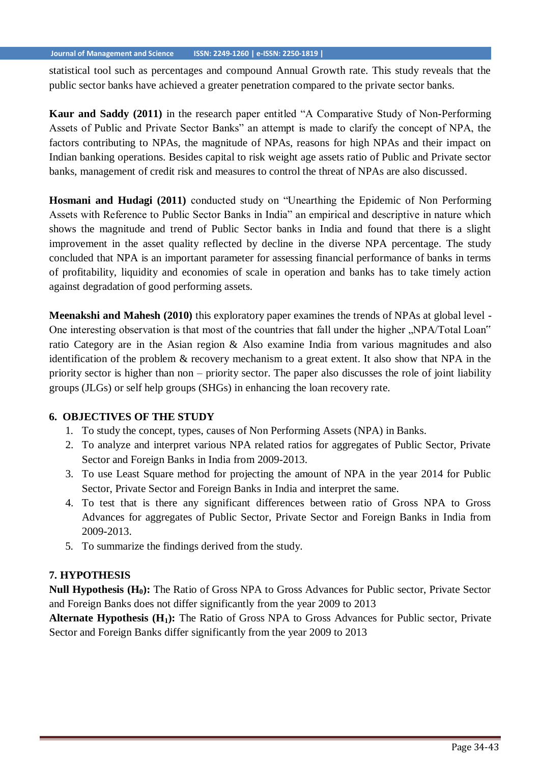statistical tool such as percentages and compound Annual Growth rate. This study reveals that the public sector banks have achieved a greater penetration compared to the private sector banks.

**Kaur and Saddy (2011)** in the research paper entitled "A Comparative Study of Non-Performing Assets of Public and Private Sector Banks" an attempt is made to clarify the concept of NPA, the factors contributing to NPAs, the magnitude of NPAs, reasons for high NPAs and their impact on Indian banking operations. Besides capital to risk weight age assets ratio of Public and Private sector banks, management of credit risk and measures to control the threat of NPAs are also discussed*.*

**Hosmani and Hudagi (2011)** conducted study on "Unearthing the Epidemic of Non Performing Assets with Reference to Public Sector Banks in India" an empirical and descriptive in nature which shows the magnitude and trend of Public Sector banks in India and found that there is a slight improvement in the asset quality reflected by decline in the diverse NPA percentage. The study concluded that NPA is an important parameter for assessing financial performance of banks in terms of profitability, liquidity and economies of scale in operation and banks has to take timely action against degradation of good performing assets.

**Meenakshi and Mahesh (2010)** this exploratory paper examines the trends of NPAs at global level - One interesting observation is that most of the countries that fall under the higher "NPA/Total Loan" ratio Category are in the Asian region & Also examine India from various magnitudes and also identification of the problem & recovery mechanism to a great extent. It also show that NPA in the priority sector is higher than non – priority sector. The paper also discusses the role of joint liability groups (JLGs) or self help groups (SHGs) in enhancing the loan recovery rate.

## **6. OBJECTIVES OF THE STUDY**

- 1. To study the concept, types, causes of Non Performing Assets (NPA) in Banks.
- 2. To analyze and interpret various NPA related ratios for aggregates of Public Sector, Private Sector and Foreign Banks in India from 2009-2013.
- 3. To use Least Square method for projecting the amount of NPA in the year 2014 for Public Sector, Private Sector and Foreign Banks in India and interpret the same.
- 4. To test that is there any significant differences between ratio of Gross NPA to Gross Advances for aggregates of Public Sector, Private Sector and Foreign Banks in India from 2009-2013.
- 5. To summarize the findings derived from the study.

# **7. HYPOTHESIS**

**Null Hypothesis (H0):** The Ratio of Gross NPA to Gross Advances for Public sector, Private Sector and Foreign Banks does not differ significantly from the year 2009 to 2013

**Alternate Hypothesis (H1):** The Ratio of Gross NPA to Gross Advances for Public sector, Private Sector and Foreign Banks differ significantly from the year 2009 to 2013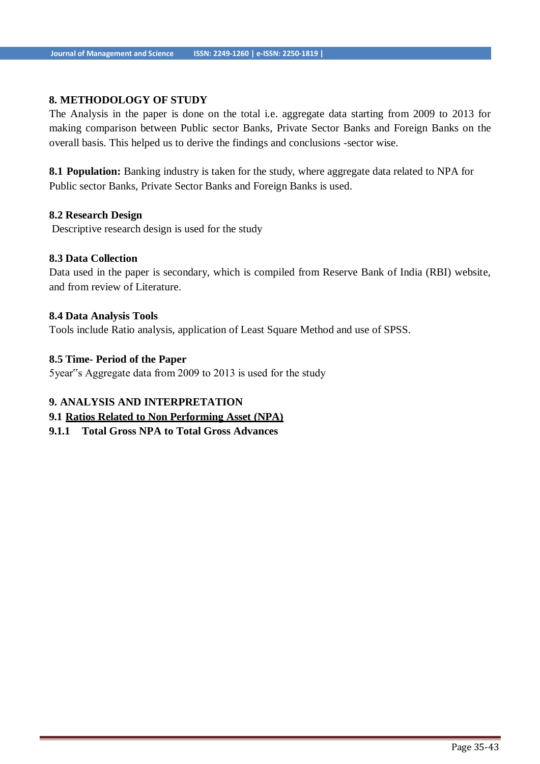## **8. METHODOLOGY OF STUDY**

The Analysis in the paper is done on the total i.e. aggregate data starting from 2009 to 2013 for making comparison between Public sector Banks, Private Sector Banks and Foreign Banks on the overall basis. This helped us to derive the findings and conclusions -sector wise.

8.1 **Population:** Banking industry is taken for the study, where aggregate data related to NPA for Public sector Banks, Private Sector Banks and Foreign Banks is used.

#### **8.2 Research Design**

Descriptive research design is used for the study

## **8.3 Data Collection**

Data used in the paper is secondary, which is compiled from Reserve Bank of India (RBI) website, and from review of Literature.

#### **8.4 Data Analysis Tools**

Tools include Ratio analysis, application of Least Square Method and use of SPSS.

#### **8.5 Time- Period of the Paper**

5year"s Aggregate data from 2009 to 2013 is used for the study

#### **9. ANALYSIS AND INTERPRETATION**

## **9.1 Ratios Related to Non Performing Asset (NPA)**

**9.1.1 Total Gross NPA to Total Gross Advances**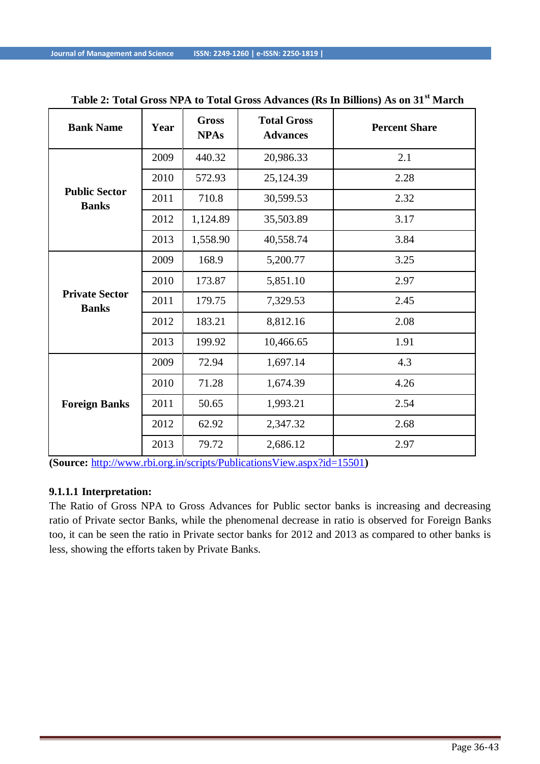| <b>Bank Name</b>                      | Year | <b>Gross</b><br><b>NPAs</b> | <b>Total Gross</b><br><b>Advances</b> | <b>Percent Share</b> |
|---------------------------------------|------|-----------------------------|---------------------------------------|----------------------|
|                                       | 2009 | 440.32                      | 20,986.33                             | 2.1                  |
|                                       | 2010 | 572.93                      | 25,124.39                             | 2.28                 |
| <b>Public Sector</b><br><b>Banks</b>  | 2011 | 710.8                       | 30,599.53                             | 2.32                 |
|                                       | 2012 | 1,124.89                    | 35,503.89                             | 3.17                 |
|                                       | 2013 | 1,558.90                    | 40,558.74                             | 3.84                 |
|                                       | 2009 | 168.9                       | 5,200.77                              | 3.25                 |
|                                       | 2010 | 173.87                      | 5,851.10                              | 2.97                 |
| <b>Private Sector</b><br><b>Banks</b> | 2011 | 179.75                      | 7,329.53                              | 2.45                 |
|                                       | 2012 | 183.21                      | 8,812.16                              | 2.08                 |
|                                       | 2013 | 199.92                      | 10,466.65                             | 1.91                 |
|                                       | 2009 | 72.94                       | 1,697.14                              | 4.3                  |
|                                       | 2010 | 71.28                       | 1,674.39                              | 4.26                 |
| <b>Foreign Banks</b>                  | 2011 | 50.65                       | 1,993.21                              | 2.54                 |
|                                       | 2012 | 62.92                       | 2,347.32                              | 2.68                 |
|                                       | 2013 | 79.72                       | 2,686.12                              | 2.97                 |

**Table 2: Total Gross NPA to Total Gross Advances (Rs In Billions) As on 31st March**

**(Source:** <http://www.rbi.org.in/scripts/PublicationsView.aspx?id=15501>**)**

## **9.1.1.1 Interpretation:**

The Ratio of Gross NPA to Gross Advances for Public sector banks is increasing and decreasing ratio of Private sector Banks, while the phenomenal decrease in ratio is observed for Foreign Banks too, it can be seen the ratio in Private sector banks for 2012 and 2013 as compared to other banks is less, showing the efforts taken by Private Banks.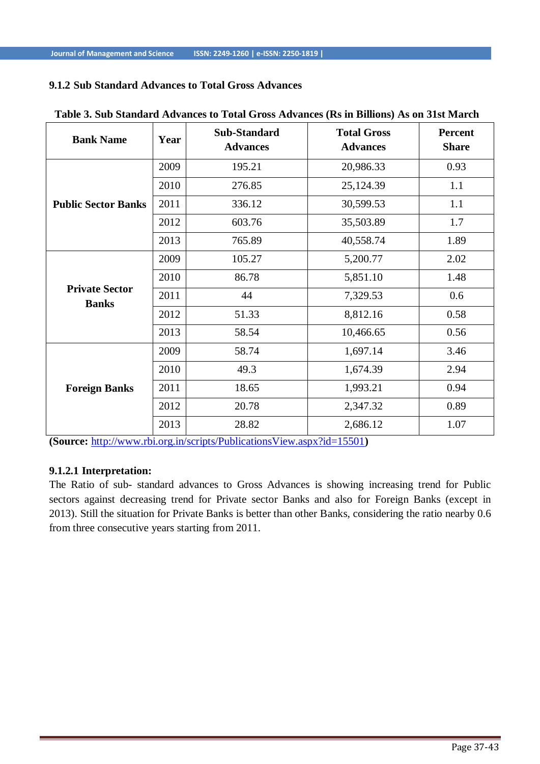# **9.1.2 Sub Standard Advances to Total Gross Advances**

| <b>Bank Name</b>                      | Year | <b>Sub-Standard</b><br><b>Advances</b> | <b>Total Gross</b><br><b>Advances</b> | <b>Percent</b><br><b>Share</b> |
|---------------------------------------|------|----------------------------------------|---------------------------------------|--------------------------------|
|                                       | 2009 | 195.21                                 | 20,986.33                             | 0.93                           |
|                                       | 2010 | 276.85                                 | 25,124.39                             | 1.1                            |
| <b>Public Sector Banks</b>            | 2011 | 336.12                                 | 30,599.53                             | 1.1                            |
|                                       | 2012 | 603.76                                 | 35,503.89                             | 1.7                            |
|                                       | 2013 | 765.89                                 | 40,558.74                             | 1.89                           |
|                                       | 2009 | 105.27                                 | 5,200.77                              | 2.02                           |
|                                       | 2010 | 86.78                                  | 5,851.10                              | 1.48                           |
| <b>Private Sector</b><br><b>Banks</b> | 2011 | 44                                     | 7,329.53                              | 0.6                            |
|                                       | 2012 | 51.33                                  | 8,812.16                              | 0.58                           |
|                                       | 2013 | 58.54                                  | 10,466.65                             | 0.56                           |
|                                       | 2009 | 58.74                                  | 1,697.14                              | 3.46                           |
|                                       | 2010 | 49.3                                   | 1,674.39                              | 2.94                           |
| <b>Foreign Banks</b>                  | 2011 | 18.65                                  | 1,993.21                              | 0.94                           |
|                                       | 2012 | 20.78                                  | 2,347.32                              | 0.89                           |
|                                       | 2013 | 28.82                                  | 2,686.12                              | 1.07                           |

#### **Table 3. Sub Standard Advances to Total Gross Advances (Rs in Billions) As on 31st March**

**(Source:** <http://www.rbi.org.in/scripts/PublicationsView.aspx?id=15501>**)**

## **9.1.2.1 Interpretation:**

The Ratio of sub- standard advances to Gross Advances is showing increasing trend for Public sectors against decreasing trend for Private sector Banks and also for Foreign Banks (except in 2013). Still the situation for Private Banks is better than other Banks, considering the ratio nearby 0.6 from three consecutive years starting from 2011.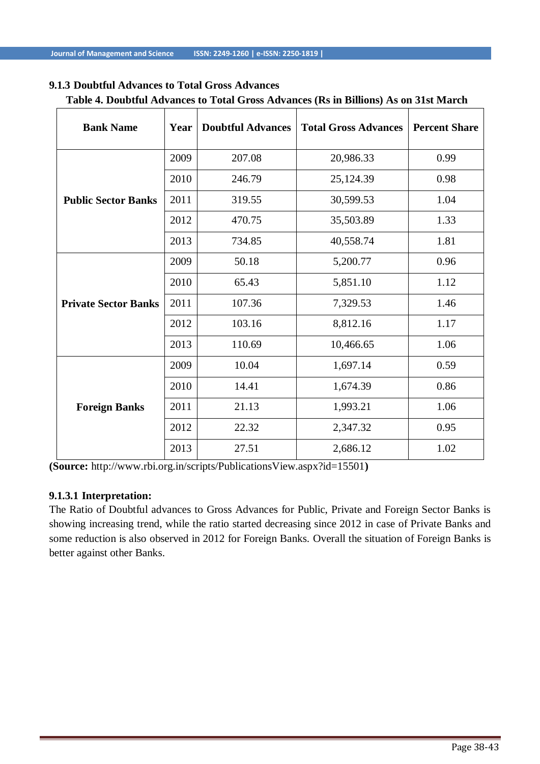## **9.1.3 Doubtful Advances to Total Gross Advances**

| <b>Bank Name</b>            | Year | <b>Doubtful Advances</b> | <b>Total Gross Advances</b> | <b>Percent Share</b> |
|-----------------------------|------|--------------------------|-----------------------------|----------------------|
|                             | 2009 | 207.08                   | 20,986.33                   | 0.99                 |
|                             | 2010 | 246.79                   | 25,124.39                   | 0.98                 |
| <b>Public Sector Banks</b>  | 2011 | 319.55                   | 30,599.53                   | 1.04                 |
|                             | 2012 | 470.75                   | 35,503.89                   | 1.33                 |
|                             | 2013 | 734.85                   | 40,558.74                   | 1.81                 |
|                             | 2009 | 50.18                    | 5,200.77                    | 0.96                 |
|                             | 2010 | 65.43                    | 5,851.10                    | 1.12                 |
| <b>Private Sector Banks</b> | 2011 | 107.36                   | 7,329.53                    | 1.46                 |
|                             | 2012 | 103.16                   | 8,812.16                    | 1.17                 |
|                             | 2013 | 110.69                   | 10,466.65                   | 1.06                 |
|                             | 2009 | 10.04                    | 1,697.14                    | 0.59                 |
|                             | 2010 | 14.41                    | 1,674.39                    | 0.86                 |
| <b>Foreign Banks</b>        | 2011 | 21.13                    | 1,993.21                    | 1.06                 |
|                             | 2012 | 22.32                    | 2,347.32                    | 0.95                 |
|                             | 2013 | 27.51                    | 2,686.12                    | 1.02                 |

# **Table 4. Doubtful Advances to Total Gross Advances (Rs in Billions) As on 31st March**

**(Source:** [http://www.rbi.org.in/scripts/PublicationsView.aspx?id=15501](http://www.rbi.org.in/scripts/PublicationsView.aspx?id=15501))**)**

## **9.1.3.1 Interpretation:**

The Ratio of Doubtful advances to Gross Advances for Public, Private and Foreign Sector Banks is showing increasing trend, while the ratio started decreasing since 2012 in case of Private Banks and some reduction is also observed in 2012 for Foreign Banks. Overall the situation of Foreign Banks is better against other Banks.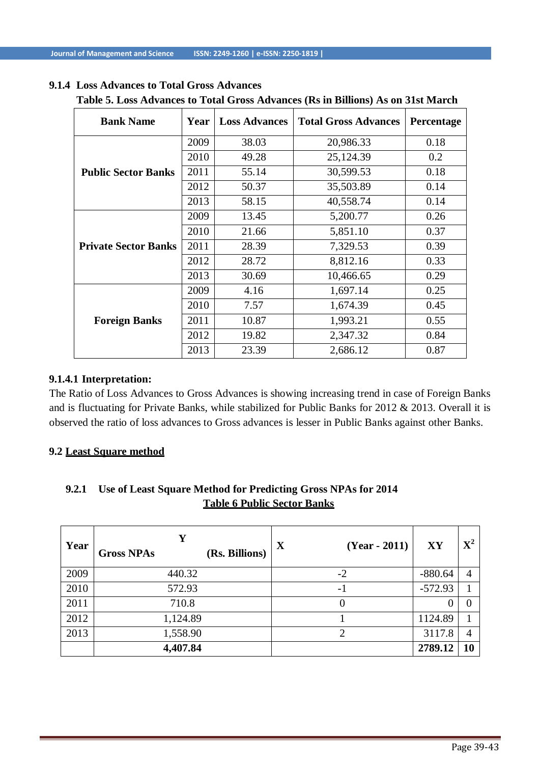## **9.1.4 Loss Advances to Total Gross Advances**

| <b>Bank Name</b>            | Year | <b>Loss Advances</b> | <b>Total Gross Advances</b> | Percentage |
|-----------------------------|------|----------------------|-----------------------------|------------|
|                             | 2009 | 38.03                | 20,986.33                   | 0.18       |
|                             | 2010 | 49.28                | 25,124.39                   | 0.2        |
| <b>Public Sector Banks</b>  | 2011 | 55.14                | 30,599.53                   | 0.18       |
|                             | 2012 | 50.37                | 35,503.89                   | 0.14       |
|                             | 2013 | 58.15                | 40,558.74                   | 0.14       |
|                             | 2009 | 13.45                | 5,200.77                    | 0.26       |
|                             | 2010 | 21.66                | 5,851.10                    | 0.37       |
| <b>Private Sector Banks</b> | 2011 | 28.39                | 7,329.53                    | 0.39       |
|                             | 2012 | 28.72                | 8,812.16                    | 0.33       |
|                             | 2013 | 30.69                | 10,466.65                   | 0.29       |
|                             | 2009 | 4.16                 | 1,697.14                    | 0.25       |
|                             | 2010 | 7.57                 | 1,674.39                    | 0.45       |
| <b>Foreign Banks</b>        | 2011 | 10.87                | 1,993.21                    | 0.55       |
|                             | 2012 | 19.82                | 2,347.32                    | 0.84       |
|                             | 2013 | 23.39                | 2,686.12                    | 0.87       |

# **Table 5. Loss Advances to Total Gross Advances (Rs in Billions) As on 31st March**

## **9.1.4.1 Interpretation:**

The Ratio of Loss Advances to Gross Advances is showing increasing trend in case of Foreign Banks and is fluctuating for Private Banks, while stabilized for Public Banks for 2012 & 2013. Overall it is observed the ratio of loss advances to Gross advances is lesser in Public Banks against other Banks.

#### **9.2 Least Square method**

# **9.2.1 Use of Least Square Method for Predicting Gross NPAs for 2014 Table 6 Public Sector Banks**

| Year | Y<br>(Rs. Billions)<br><b>Gross NPAs</b> | $\mathbf X$<br>$(Year - 2011)$ | XY        | $\mathbf{X}^2$ |
|------|------------------------------------------|--------------------------------|-----------|----------------|
| 2009 | 440.32                                   | $-2$                           | $-880.64$ |                |
| 2010 | 572.93                                   | - 1                            | $-572.93$ |                |
| 2011 | 710.8                                    | 0                              |           |                |
| 2012 | 1,124.89                                 |                                | 1124.89   |                |
| 2013 | 1,558.90                                 | 2                              | 3117.8    |                |
|      | 4,407.84                                 |                                | 2789.12   | 10             |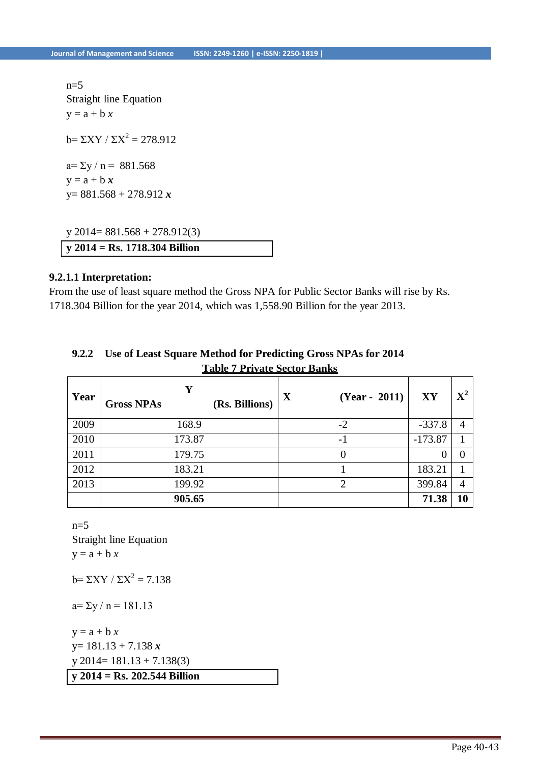$n=5$ Straight line Equation  $y = a + b x$  $b = \sum XY / \sum X^2 = 278.912$  $a = \sum y / n = 881.568$  $y = a + b x$ y= 881.568 + 278.912 *x*

y 2014= 881.568 + 278.912(3) **y 2014 = Rs. 1718.304 Billion**

#### **9.2.1.1 Interpretation:**

From the use of least square method the Gross NPA for Public Sector Banks will rise by Rs. 1718.304 Billion for the year 2014, which was 1,558.90 Billion for the year 2013.

| Year | Y<br>(Rs. Billions)<br><b>Gross NPAs</b> | X<br>$(Year - 2011)$ | XY        | ${\bf X}^2$ |
|------|------------------------------------------|----------------------|-----------|-------------|
| 2009 | 168.9                                    | $-2$                 | $-337.8$  | 4           |
| 2010 | 173.87                                   | $-1$                 | $-173.87$ |             |
| 2011 | 179.75                                   | O                    |           |             |
| 2012 | 183.21                                   |                      | 183.21    |             |
| 2013 | 199.92                                   | ◠                    | 399.84    | 4           |
|      | 905.65                                   |                      | 71.38     | 10          |

## **9.2.2 Use of Least Square Method for Predicting Gross NPAs for 2014 Table 7 Private Sector Banks**

 $n=5$ Straight line Equation  $y = a + b x$ 

 $b = \Sigma XY / \Sigma X^2 = 7.138$ 

 $a=\sum y / n = 181.13$ 

**y 2014 = Rs. 202.544 Billion**  $y = a + b x$ y= 181.13 + 7.138 *x*  $y\ 2014 = 181.13 + 7.138(3)$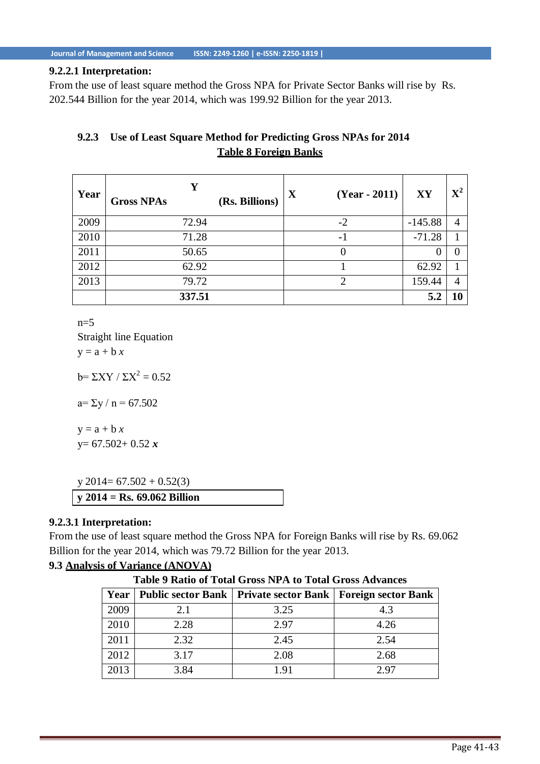#### **9.2.2.1 Interpretation:**

From the use of least square method the Gross NPA for Private Sector Banks will rise by Rs. 202.544 Billion for the year 2014, which was 199.92 Billion for the year 2013.

# **9.2.3 Use of Least Square Method for Predicting Gross NPAs for 2014 Table 8 Foreign Banks**

| Year | v<br>(Rs. Billions)<br><b>Gross NPAs</b> | X<br>$(Year - 2011)$        | XY        | ${\bf X}^2$ |
|------|------------------------------------------|-----------------------------|-----------|-------------|
| 2009 | 72.94                                    | $-2$                        | $-145.88$ | 4           |
| 2010 | 71.28                                    | $-1$                        | $-71.28$  |             |
| 2011 | 50.65                                    |                             |           |             |
| 2012 | 62.92                                    |                             | 62.92     |             |
| 2013 | 79.72                                    | $\mathcal{D}_{\mathcal{L}}$ | 159.44    | 4           |
|      | 337.51                                   |                             | 5.2       |             |

 $n=5$ 

Straight line Equation  $y = a + b x$ 

 $b = \sum XY / \sum X^2 = 0.52$ 

 $a = \Sigma y / n = 67.502$ 

 $y = a + b x$ y= 67.502+ 0.52 *x*

**y 2014 = Rs. 69.062 Billion**  $y$  2014= 67.502 + 0.52(3)

## **9.2.3.1 Interpretation:**

From the use of least square method the Gross NPA for Foreign Banks will rise by Rs. 69.062 Billion for the year 2014, which was 79.72 Billion for the year 2013.

## **9.3 Analysis of Variance (ANOVA)**

**Table 9 Ratio of Total Gross NPA to Total Gross Advances**

| Year |      | Public sector Bank   Private sector Bank   Foreign sector Bank |      |
|------|------|----------------------------------------------------------------|------|
| 2009 | 2.1  | 3.25                                                           | 4.3  |
| 2010 | 2.28 | 2.97                                                           | 4.26 |
| 2011 | 2.32 | 2.45                                                           | 2.54 |
| 2012 | 3.17 | 2.08                                                           | 2.68 |
| 2013 | 3.84 | 191                                                            | 2.97 |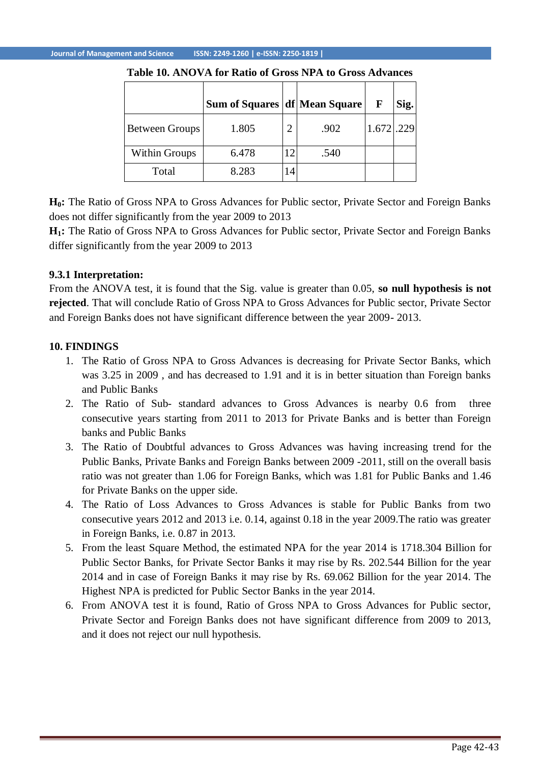|                       | Sum of Squares   df   Mean Square |                |      | F     | Sig. |
|-----------------------|-----------------------------------|----------------|------|-------|------|
| <b>Between Groups</b> | 1.805                             | $\overline{2}$ | .902 | 1.672 | .229 |
| <b>Within Groups</b>  | 6.478                             | 12             | .540 |       |      |
| Total                 | 8.283                             | 14             |      |       |      |

#### **Table 10. ANOVA for Ratio of Gross NPA to Gross Advances**

**H0:** The Ratio of Gross NPA to Gross Advances for Public sector, Private Sector and Foreign Banks does not differ significantly from the year 2009 to 2013

**H1:** The Ratio of Gross NPA to Gross Advances for Public sector, Private Sector and Foreign Banks differ significantly from the year 2009 to 2013

## **9.3.1 Interpretation:**

From the ANOVA test, it is found that the Sig. value is greater than 0.05, **so null hypothesis is not rejected**. That will conclude Ratio of Gross NPA to Gross Advances for Public sector, Private Sector and Foreign Banks does not have significant difference between the year 2009- 2013.

#### **10. FINDINGS**

- 1. The Ratio of Gross NPA to Gross Advances is decreasing for Private Sector Banks, which was 3.25 in 2009 , and has decreased to 1.91 and it is in better situation than Foreign banks and Public Banks
- 2. The Ratio of Sub- standard advances to Gross Advances is nearby 0.6 from three consecutive years starting from 2011 to 2013 for Private Banks and is better than Foreign banks and Public Banks
- 3. The Ratio of Doubtful advances to Gross Advances was having increasing trend for the Public Banks, Private Banks and Foreign Banks between 2009 -2011, still on the overall basis ratio was not greater than 1.06 for Foreign Banks, which was 1.81 for Public Banks and 1.46 for Private Banks on the upper side.
- 4. The Ratio of Loss Advances to Gross Advances is stable for Public Banks from two consecutive years 2012 and 2013 i.e. 0.14, against 0.18 in the year 2009.The ratio was greater in Foreign Banks, i.e. 0.87 in 2013.
- 5. From the least Square Method, the estimated NPA for the year 2014 is 1718.304 Billion for Public Sector Banks, for Private Sector Banks it may rise by Rs. 202.544 Billion for the year 2014 and in case of Foreign Banks it may rise by Rs. 69.062 Billion for the year 2014. The Highest NPA is predicted for Public Sector Banks in the year 2014.
- 6. From ANOVA test it is found, Ratio of Gross NPA to Gross Advances for Public sector, Private Sector and Foreign Banks does not have significant difference from 2009 to 2013, and it does not reject our null hypothesis.